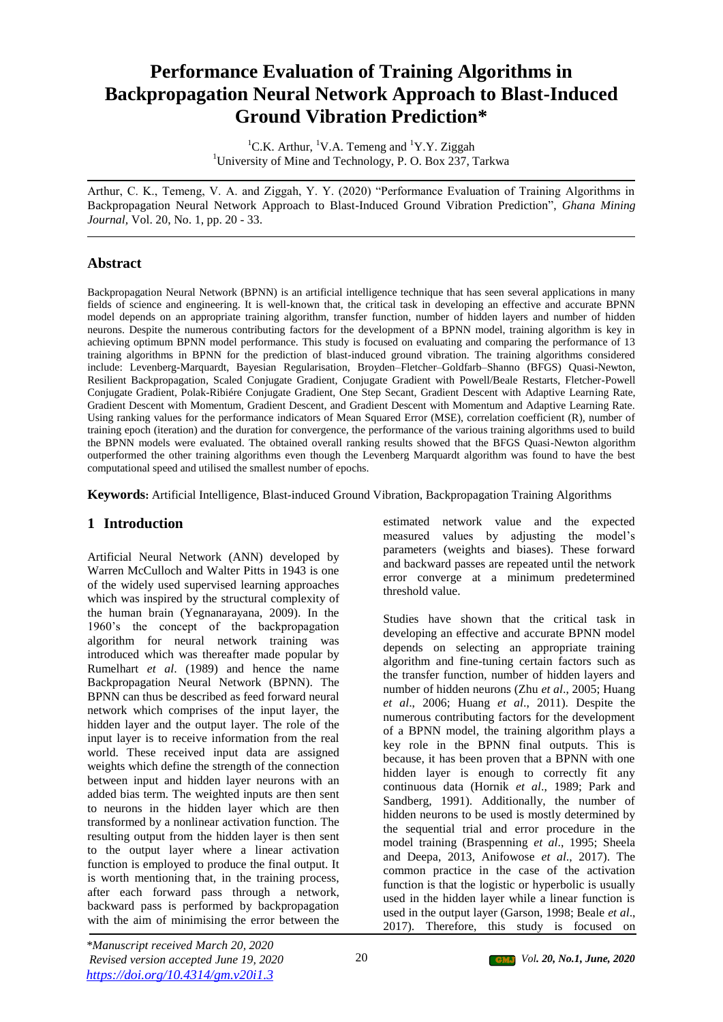# **Performance Evaluation of Training Algorithms in Backpropagation Neural Network Approach to Blast-Induced Ground Vibration Prediction\***

<sup>1</sup>C.K. Arthur, <sup>1</sup>V.A. Temeng and <sup>1</sup>Y.Y. Ziggah <sup>1</sup>University of Mine and Technology, P. O. Box 237, Tarkwa

Arthur, C. K., Temeng, V. A. and Ziggah, Y. Y. (2020) "Performance Evaluation of Training Algorithms in Backpropagation Neural Network Approach to Blast-Induced Ground Vibration Prediction", *Ghana Mining Journal,* Vol. 20, No. 1, pp. 20 - 33.

# **Abstract**

Backpropagation Neural Network (BPNN) is an artificial intelligence technique that has seen several applications in many fields of science and engineering. It is well-known that, the critical task in developing an effective and accurate BPNN model depends on an appropriate training algorithm, transfer function, number of hidden layers and number of hidden neurons. Despite the numerous contributing factors for the development of a BPNN model, training algorithm is key in achieving optimum BPNN model performance. This study is focused on evaluating and comparing the performance of 13 training algorithms in BPNN for the prediction of blast-induced ground vibration. The training algorithms considered include: Levenberg-Marquardt, Bayesian Regularisation, Broyden–Fletcher–Goldfarb–Shanno (BFGS) Quasi-Newton, Resilient Backpropagation, Scaled Conjugate Gradient, Conjugate Gradient with Powell/Beale Restarts, Fletcher-Powell Conjugate Gradient, Polak-Ribiére Conjugate Gradient, One Step Secant, Gradient Descent with Adaptive Learning Rate, Gradient Descent with Momentum, Gradient Descent, and Gradient Descent with Momentum and Adaptive Learning Rate. Using ranking values for the performance indicators of Mean Squared Error (MSE), correlation coefficient (R), number of training epoch (iteration) and the duration for convergence, the performance of the various training algorithms used to build the BPNN models were evaluated. The obtained overall ranking results showed that the BFGS Quasi-Newton algorithm outperformed the other training algorithms even though the Levenberg Marquardt algorithm was found to have the best computational speed and utilised the smallest number of epochs.

**Keywords:** Artificial Intelligence, Blast-induced Ground Vibration, Backpropagation Training Algorithms

# **1 Introduction**

Artificial Neural Network (ANN) developed by Warren McCulloch and Walter Pitts in 1943 is one of the widely used supervised learning approaches which was inspired by the structural complexity of the human brain (Yegnanarayana, 2009). In the 1960's the concept of the backpropagation algorithm for neural network training was introduced which was thereafter made popular by Rumelhart *et al*. (1989) and hence the name Backpropagation Neural Network (BPNN). The BPNN can thus be described as feed forward neural network which comprises of the input layer, the hidden layer and the output layer. The role of the input layer is to receive information from the real world. These received input data are assigned weights which define the strength of the connection between input and hidden layer neurons with an added bias term. The weighted inputs are then sent to neurons in the hidden layer which are then transformed by a nonlinear activation function. The resulting output from the hidden layer is then sent to the output layer where a linear activation function is employed to produce the final output. It is worth mentioning that, in the training process, after each forward pass through a network, backward pass is performed by backpropagation with the aim of minimising the error between the

estimated network value and the expected measured values by adjusting the model's parameters (weights and biases). These forward and backward passes are repeated until the network error converge at a minimum predetermined threshold value.

Studies have shown that the critical task in developing an effective and accurate BPNN model depends on selecting an appropriate training algorithm and fine-tuning certain factors such as the transfer function, number of hidden layers and number of hidden neurons (Zhu *et al*., 2005; Huang *et al*., 2006; Huang *et al*., 2011). Despite the numerous contributing factors for the development of a BPNN model, the training algorithm plays a key role in the BPNN final outputs. This is because, it has been proven that a BPNN with one hidden layer is enough to correctly fit any continuous data (Hornik *et al*., 1989; Park and Sandberg, 1991). Additionally, the number of hidden neurons to be used is mostly determined by the sequential trial and error procedure in the model training (Braspenning *et al*., 1995; Sheela and Deepa, 2013, Anifowose *et al*., 2017). The common practice in the case of the activation function is that the logistic or hyperbolic is usually used in the hidden layer while a linear function is used in the output layer (Garson, 1998; Beale *et al*., 2017). Therefore, this study is focused on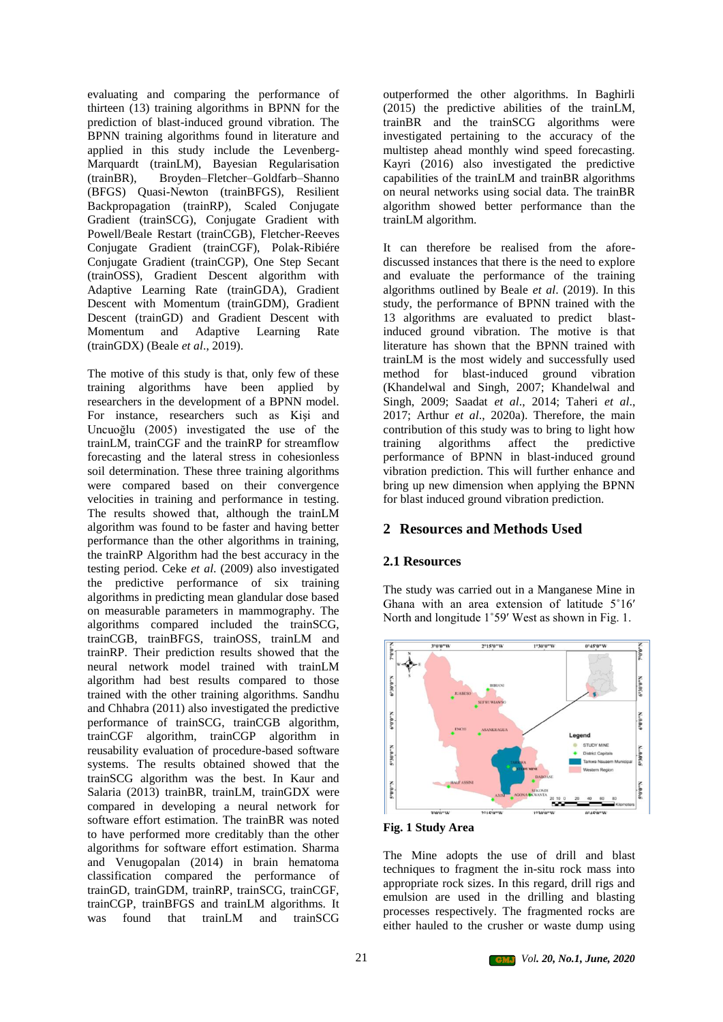evaluating and comparing the performance of thirteen (13) training algorithms in BPNN for the prediction of blast-induced ground vibration. The BPNN training algorithms found in literature and applied in this study include the Levenberg-Marquardt (trainLM), Bayesian Regularisation (trainBR), Broyden–Fletcher–Goldfarb–Shanno (BFGS) Quasi-Newton (trainBFGS), Resilient Backpropagation (trainRP), Scaled Conjugate Gradient (trainSCG), Conjugate Gradient with Powell/Beale Restart (trainCGB), Fletcher-Reeves Conjugate Gradient (trainCGF), Polak-Ribiére Conjugate Gradient (trainCGP), One Step Secant (trainOSS), Gradient Descent algorithm with Adaptive Learning Rate (trainGDA), Gradient Descent with Momentum (trainGDM), Gradient Descent (trainGD) and Gradient Descent with Momentum and Adaptive Learning Rate (trainGDX) (Beale *et al*., 2019).

The motive of this study is that, only few of these training algorithms have been applied by researchers in the development of a BPNN model. For instance, researchers such as Kişi and Uncuoğlu (2005) investigated the use of the trainLM, trainCGF and the trainRP for streamflow forecasting and the lateral stress in cohesionless soil determination. These three training algorithms were compared based on their convergence velocities in training and performance in testing. The results showed that, although the trainLM algorithm was found to be faster and having better performance than the other algorithms in training, the trainRP Algorithm had the best accuracy in the testing period. Ceke *et al*. (2009) also investigated the predictive performance of six training algorithms in predicting mean glandular dose based on measurable parameters in mammography. The algorithms compared included the trainSCG, trainCGB, trainBFGS, trainOSS, trainLM and trainRP. Their prediction results showed that the neural network model trained with trainLM algorithm had best results compared to those trained with the other training algorithms. Sandhu and Chhabra (2011) also investigated the predictive performance of trainSCG, trainCGB algorithm, trainCGF algorithm, trainCGP algorithm in reusability evaluation of procedure-based software systems. The results obtained showed that the trainSCG algorithm was the best. In Kaur and Salaria (2013) trainBR, trainLM, trainGDX were compared in developing a neural network for software effort estimation. The trainBR was noted to have performed more creditably than the other algorithms for software effort estimation. Sharma and Venugopalan (2014) in brain hematoma classification compared the performance of trainGD, trainGDM, trainRP, trainSCG, trainCGF, trainCGP, trainBFGS and trainLM algorithms. It was found that trainLM and trainSCG

outperformed the other algorithms. In Baghirli (2015) the predictive abilities of the trainLM, trainBR and the trainSCG algorithms were investigated pertaining to the accuracy of the multistep ahead monthly wind speed forecasting. Kayri (2016) also investigated the predictive capabilities of the trainLM and trainBR algorithms on neural networks using social data. The trainBR algorithm showed better performance than the trainLM algorithm.

It can therefore be realised from the aforediscussed instances that there is the need to explore and evaluate the performance of the training algorithms outlined by Beale *et al*. (2019). In this study, the performance of BPNN trained with the 13 algorithms are evaluated to predict blastinduced ground vibration. The motive is that literature has shown that the BPNN trained with trainLM is the most widely and successfully used method for blast-induced ground vibration (Khandelwal and Singh, 2007; Khandelwal and Singh, 2009; Saadat *et al*., 2014; Taheri *et al*., 2017; Arthur *et al*., 2020a). Therefore, the main contribution of this study was to bring to light how training algorithms affect the predictive performance of BPNN in blast-induced ground vibration prediction. This will further enhance and bring up new dimension when applying the BPNN for blast induced ground vibration prediction.

# **2 Resources and Methods Used**

# **2.1 Resources**

The study was carried out in a Manganese Mine in Ghana with an area extension of latitude 5˚16ʹ North and longitude 1˚59ʹ West as shown in Fig. 1.



**Fig. 1 Study Area**

The Mine adopts the use of drill and blast techniques to fragment the in-situ rock mass into appropriate rock sizes. In this regard, drill rigs and emulsion are used in the drilling and blasting processes respectively. The fragmented rocks are either hauled to the crusher or waste dump using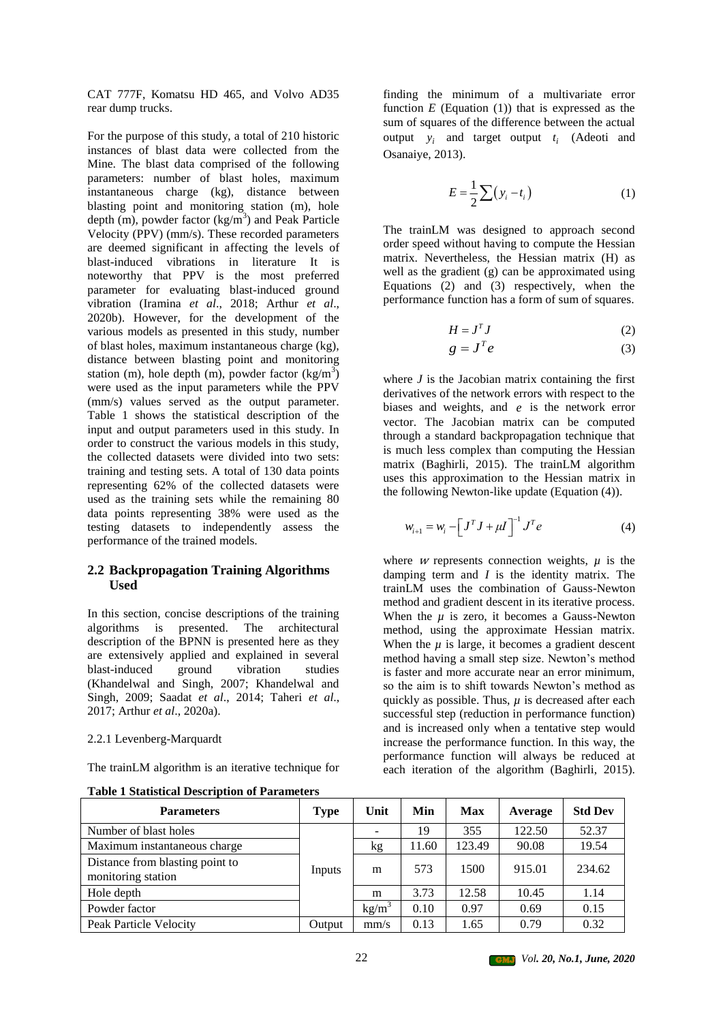CAT 777F, Komatsu HD 465, and Volvo AD35 rear dump trucks.

For the purpose of this study, a total of 210 historic instances of blast data were collected from the Mine. The blast data comprised of the following parameters: number of blast holes, maximum instantaneous charge (kg), distance between blasting point and monitoring station (m), hole depth  $(m)$ , powder factor  $(kg/m<sup>3</sup>)$  and Peak Particle Velocity (PPV) (mm/s). These recorded parameters are deemed significant in affecting the levels of blast-induced vibrations in literature It is noteworthy that PPV is the most preferred parameter for evaluating blast-induced ground vibration (Iramina *et al*., 2018; Arthur *et al*., 2020b). However, for the development of the various models as presented in this study, number of blast holes, maximum instantaneous charge (kg), distance between blasting point and monitoring station (m), hole depth (m), powder factor  $(kg/m^3)$ were used as the input parameters while the PPV (mm/s) values served as the output parameter. Table 1 shows the statistical description of the input and output parameters used in this study. In order to construct the various models in this study, the collected datasets were divided into two sets: training and testing sets. A total of 130 data points representing 62% of the collected datasets were used as the training sets while the remaining 80 data points representing 38% were used as the testing datasets to independently assess the performance of the trained models.

## **2.2 Backpropagation Training Algorithms Used**

In this section, concise descriptions of the training algorithms is presented. The architectural description of the BPNN is presented here as they are extensively applied and explained in several<br>blast-induced ground vibration studies blast-induced ground vibration studies (Khandelwal and Singh, 2007; Khandelwal and Singh, 2009; Saadat *et al*., 2014; Taheri *et al*., 2017; Arthur *et al*., 2020a).

### 2.2.1 Levenberg-Marquardt

The trainLM algorithm is an iterative technique for

| <b>Table 1 Statistical Description of Parameters</b> |
|------------------------------------------------------|
|------------------------------------------------------|

finding the minimum of a multivariate error function  $E$  (Equation (1)) that is expressed as the sum of squares of the difference between the actual output  $y_i$  and target output  $t_i$  (Adeoti and Osanaiye, 2013).

$$
E = \frac{1}{2} \sum (y_i - t_i)
$$
 (1)

The trainLM was designed to approach second order speed without having to compute the Hessian matrix. Nevertheless, the Hessian matrix (H) as well as the gradient (g) can be approximated using Equations (2) and (3) respectively, when the performance function has a form of sum of squares.

$$
H = J^T J \tag{2}
$$

$$
g = J^T e \tag{3}
$$

where  $J$  is the Jacobian matrix containing the first derivatives of the network errors with respect to the biases and weights, and *e* is the network error vector. The Jacobian matrix can be computed through a standard backpropagation technique that is much less complex than computing the Hessian matrix (Baghirli, 2015). The trainLM algorithm uses this approximation to the Hessian matrix in the following Newton-like update (Equation (4)).

$$
w_{i+1} = w_i - \left[J^T J + \mu I\right]^{-1} J^T e \tag{4}
$$

where *w* represents connection weights,  $\mu$  is the damping term and *I* is the identity matrix. The trainLM uses the combination of Gauss-Newton method and gradient descent in its iterative process. When the  $\mu$  is zero, it becomes a Gauss-Newton method, using the approximate Hessian matrix. When the  $\mu$  is large, it becomes a gradient descent method having a small step size. Newton's method is faster and more accurate near an error minimum, so the aim is to shift towards Newton's method as quickly as possible. Thus,  $\mu$  is decreased after each successful step (reduction in performance function) and is increased only when a tentative step would increase the performance function. In this way, the performance function will always be reduced at each iteration of the algorithm (Baghirli, 2015).

| <b>Parameters</b>                                     | <b>Type</b> | Unit     | Min   | <b>Max</b> | Average | <b>Std Dev</b> |
|-------------------------------------------------------|-------------|----------|-------|------------|---------|----------------|
| Number of blast holes                                 |             |          | 19    | 355        | 122.50  | 52.37          |
| Maximum instantaneous charge                          |             | kg       | 11.60 | 123.49     | 90.08   | 19.54          |
| Distance from blasting point to<br>monitoring station | Inputs      | m        | 573   | 1500       | 915.01  | 234.62         |
| Hole depth                                            |             | m        | 3.73  | 12.58      | 10.45   | 1.14           |
| Powder factor                                         |             | $kg/m^3$ | 0.10  | 0.97       | 0.69    | 0.15           |
| Peak Particle Velocity                                | Output      | mm/s     | 0.13  | 1.65       | 0.79    | 0.32           |

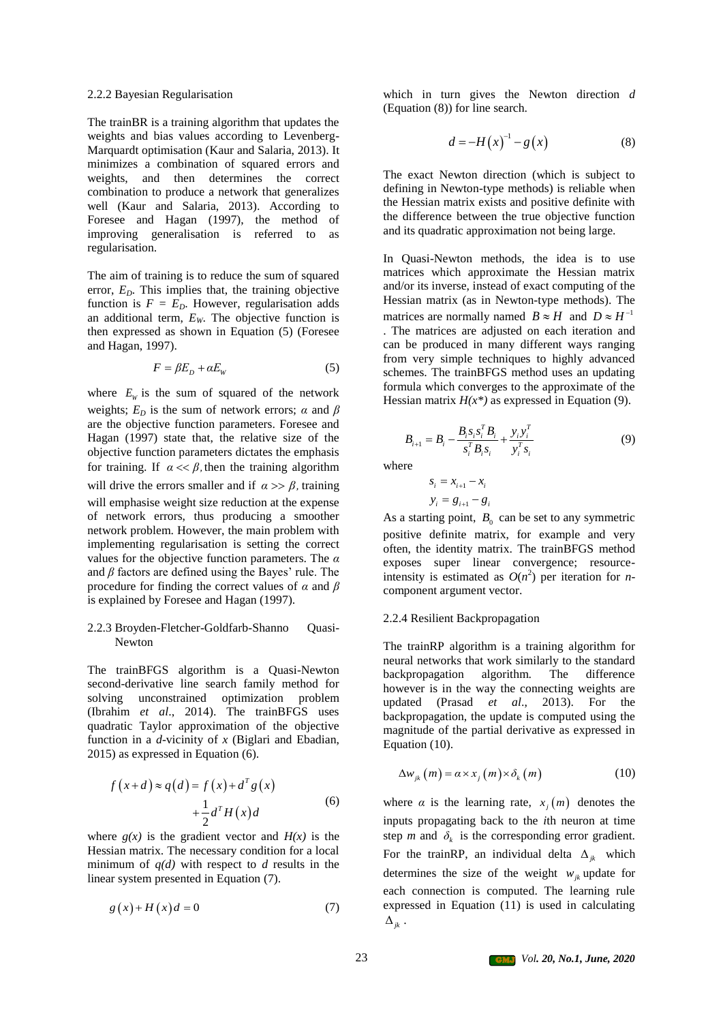#### 2.2.2 Bayesian Regularisation

The trainBR is a training algorithm that updates the weights and bias values according to Levenberg-Marquardt optimisation (Kaur and Salaria, 2013). It minimizes a combination of squared errors and weights, and then determines the correct combination to produce a network that generalizes well (Kaur and Salaria, 2013). According to Foresee and Hagan (1997), the method of improving generalisation is referred to as regularisation.

The aim of training is to reduce the sum of squared error,  $E<sub>D</sub>$ . This implies that, the training objective function is  $F = E_D$ . However, regularisation adds an additional term,  $E_W$ . The objective function is then expressed as shown in Equation (5) (Foresee and Hagan, 1997).

$$
F = \beta E_D + \alpha E_W \tag{5}
$$

where  $E_w$  is the sum of squared of the network weights;  $E_D$  is the sum of network errors;  $\alpha$  and  $\beta$ are the objective function parameters. Foresee and Hagan (1997) state that, the relative size of the objective function parameters dictates the emphasis for training. If  $\alpha \ll \beta$ , then the training algorithm will drive the errors smaller and if  $\alpha \gg \beta$ , training will emphasise weight size reduction at the expense of network errors, thus producing a smoother network problem. However, the main problem with implementing regularisation is setting the correct values for the objective function parameters. The *α* and *β* factors are defined using the Bayes' rule. The procedure for finding the correct values of *α* and *β* is explained by Foresee and Hagan (1997).

#### 2.2.3 Broyden-Fletcher-Goldfarb-Shanno Quasi-Newton

The trainBFGS algorithm is a Quasi-Newton second-derivative line search family method for solving unconstrained optimization problem (Ibrahim *et al*., 2014). The trainBFGS uses quadratic Taylor approximation of the objective function in a *d*-vicinity of *x* (Biglari and Ebadian, 2015) as expressed in Equation (6).

$$
f(x+d) \approx q(d) = f(x) + d^T g(x)
$$
  
 
$$
+ \frac{1}{2} d^T H(x) d
$$
 (6)

where  $g(x)$  is the gradient vector and  $H(x)$  is the Hessian matrix. The necessary condition for a local minimum of *q(d)* with respect to *d* results in the linear system presented in Equation (7).

$$
g(x) + H(x)d = 0
$$
 (7)

which in turn gives the Newton direction *d* (Equation (8)) for line search.

$$
d = -H(x)^{-1} - g(x)
$$
 (8)

The exact Newton direction (which is subject to defining in Newton-type methods) is reliable when the Hessian matrix exists and positive definite with the difference between the true objective function and its quadratic approximation not being large.

In Quasi-Newton methods, the idea is to use matrices which approximate the Hessian matrix and/or its inverse, instead of exact computing of the Hessian matrix (as in Newton-type methods). The matrices are normally named  $B \approx H$  and  $D \approx H^{-1}$ . The matrices are adjusted on each iteration and can be produced in many different ways ranging from very simple techniques to highly advanced schemes. The trainBFGS method uses an updating formula which converges to the approximate of the Hessian matrix  $H(x^*)$  as expressed in Equation (9).

$$
B_{i+1} = B_i - \frac{B_i s_i s_i^T B_i}{s_i^T B_i s_i} + \frac{y_i y_i^T}{y_i^T s_i}
$$
(9)

where

$$
s_i = x_{i+1} - x_i
$$

$$
y_i = g_{i+1} - g_i
$$

As a starting point,  $B_0$  can be set to any symmetric positive definite matrix, for example and very often, the identity matrix. The trainBFGS method exposes super linear convergence; resourceintensity is estimated as  $O(n^2)$  per iteration for *n*component argument vector.

#### 2.2.4 Resilient Backpropagation

The trainRP algorithm is a training algorithm for neural networks that work similarly to the standard backpropagation algorithm. The difference however is in the way the connecting weights are updated (Prasad *et al*., 2013). For the backpropagation, the update is computed using the magnitude of the partial derivative as expressed in Equation (10).

$$
\Delta w_{jk}(m) = \alpha \times x_j(m) \times \delta_k(m)
$$
 (10)

where  $\alpha$  is the learning rate,  $x_j(m)$  denotes the inputs propagating back to the *i*th neuron at time step *m* and  $\delta_k$  is the corresponding error gradient. For the train RP, an individual delta  $\Delta_{jk}$  which determines the size of the weight  $w_{jk}$  update for each connection is computed. The learning rule expressed in Equation (11) is used in calculating  $\Delta_{jk}$ .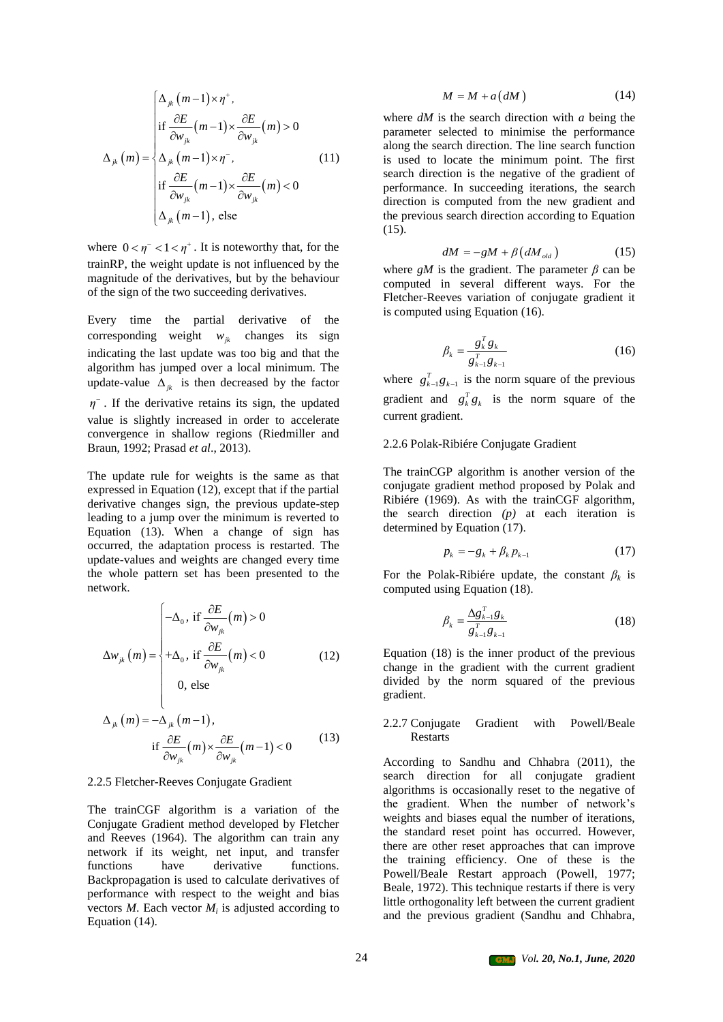$$
\Delta_{jk}(m) = \begin{cases}\n\Delta_{jk}(m-1) \times \eta^{+}, \\
\text{if } \frac{\partial E}{\partial w_{jk}}(m-1) \times \frac{\partial E}{\partial w_{jk}}(m) > 0 \\
\Delta_{jk}(m-1) \times \eta^{-}, \\
\text{if } \frac{\partial E}{\partial w_{jk}}(m-1) \times \frac{\partial E}{\partial w_{jk}}(m) < 0 \\
\Delta_{jk}(m-1), \text{ else}\n\end{cases}
$$
\n(11)

where  $0 < \eta^{-} < 1 < \eta^{+}$ . It is noteworthy that, for the trainRP, the weight update is not influenced by the magnitude of the derivatives, but by the behaviour of the sign of the two succeeding derivatives.

Every time the partial derivative of the corresponding weight  $w_{jk}$  changes its sign indicating the last update was too big and that the algorithm has jumped over a local minimum. The update-value  $\Delta_{jk}$  is then decreased by the factor  $\eta$ <sup>-</sup>. If the derivative retains its sign, the updated value is slightly increased in order to accelerate convergence in shallow regions (Riedmiller and Braun, 1992; Prasad *et al*., 2013).

The update rule for weights is the same as that expressed in Equation (12), except that if the partial derivative changes sign, the previous update-step leading to a jump over the minimum is reverted to Equation (13). When a change of sign has occurred, the adaptation process is restarted. The update-values and weights are changed every time the whole pattern set has been presented to the network.

$$
\Delta w_{jk}(m) = \begin{cases}\n-\Delta_0, & \text{if } \frac{\partial E}{\partial w_{jk}}(m) > 0 \\
+\Delta_0, & \text{if } \frac{\partial E}{\partial w_{jk}}(m) < 0 \\
0, & \text{else}\n\end{cases}
$$
\n(12)

$$
\Delta_{jk}(m) = -\Delta_{jk}(m-1),
$$
  
if  $\frac{\partial E}{\partial w_{jk}}(m) \times \frac{\partial E}{\partial w_{jk}}(m-1) < 0$  (13)

#### 2.2.5 Fletcher-Reeves Conjugate Gradient

The trainCGF algorithm is a variation of the Conjugate Gradient method developed by Fletcher and Reeves (1964). The algorithm can train any network if its weight, net input, and transfer functions have derivative functions. Backpropagation is used to calculate derivatives of performance with respect to the weight and bias vectors  $M$ . Each vector  $M_i$  is adjusted according to Equation (14).

$$
M = M + a(dM)
$$
 (14)

where *dM* is the search direction with *a* being the parameter selected to minimise the performance along the search direction. The line search function is used to locate the minimum point. The first search direction is the negative of the gradient of performance. In succeeding iterations, the search direction is computed from the new gradient and the previous search direction according to Equation (15).

$$
dM = -gM + \beta \left( dM_{\text{old}} \right) \tag{15}
$$

where  $gM$  is the gradient. The parameter  $\beta$  can be computed in several different ways. For the Fletcher-Reeves variation of conjugate gradient it is computed using Equation (16).

$$
\beta_k = \frac{g_k^T g_k}{g_{k-1}^T g_{k-1}}\tag{16}
$$

where  $g_{k-1}^T g_{k-1}$  is the norm square of the previous gradient and  $g_k^T g_k$  is the norm square of the current gradient.

#### 2.2.6 Polak-Ribiére Conjugate Gradient

The trainCGP algorithm is another version of the conjugate gradient method proposed by Polak and Ribiére (1969). As with the trainCGF algorithm, the search direction *(p)* at each iteration is determined by Equation (17).

$$
p_k = -g_k + \beta_k p_{k-1} \tag{17}
$$

For the Polak-Ribiére update, the constant  $\beta_k$  is computed using Equation (18).

$$
\beta_k = \frac{\Delta g_{k-1}^T g_k}{g_{k-1}^T g_{k-1}} \tag{18}
$$

Equation (18) is the inner product of the previous change in the gradient with the current gradient divided by the norm squared of the previous gradient.

### 2.2.7 Conjugate Gradient with Powell/Beale Restarts

According to Sandhu and Chhabra (2011), the search direction for all conjugate gradient algorithms is occasionally reset to the negative of the gradient. When the number of network's weights and biases equal the number of iterations, the standard reset point has occurred. However, there are other reset approaches that can improve the training efficiency. One of these is the Powell/Beale Restart approach (Powell, 1977; Beale, 1972). This technique restarts if there is very little orthogonality left between the current gradient and the previous gradient (Sandhu and Chhabra,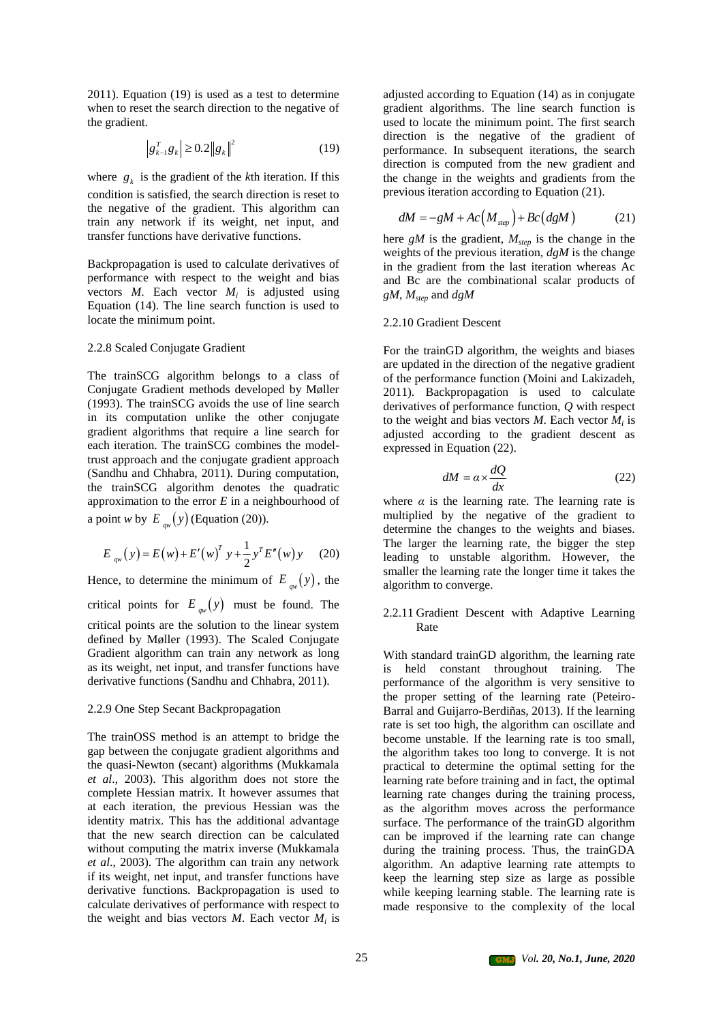2011). Equation (19) is used as a test to determine when to reset the search direction to the negative of the gradient.

$$
\left| g_{k-1}^T g_k \right| \ge 0.2 \left\| g_k \right\|^2 \tag{19}
$$

where  $g_k$  is the gradient of the *k*th iteration. If this condition is satisfied, the search direction is reset to the negative of the gradient. This algorithm can train any network if its weight, net input, and transfer functions have derivative functions.

Backpropagation is used to calculate derivatives of performance with respect to the weight and bias vectors  $M$ . Each vector  $M_i$  is adjusted using Equation (14). The line search function is used to locate the minimum point.

#### 2.2.8 Scaled Conjugate Gradient

The trainSCG algorithm belongs to a class of Conjugate Gradient methods developed by Møller (1993). The trainSCG avoids the use of line search in its computation unlike the other conjugate gradient algorithms that require a line search for each iteration. The trainSCG combines the modeltrust approach and the conjugate gradient approach (Sandhu and Chhabra, 2011). During computation, the trainSCG algorithm denotes the quadratic approximation to the error *E* in a neighbourhood of a point *w* by  $E_{qw}(y)$  (Equation (20)).

$$
E_{qw}(y) = E(w) + E'(w)^T y + \frac{1}{2} y^T E''(w) y \qquad (20)
$$

Hence, to determine the minimum of  $E_{\varphi}(y)$ , the critical points for  $E_{\alpha w}(y)$  must be found. The critical points are the solution to the linear system defined by Møller (1993). The Scaled Conjugate Gradient algorithm can train any network as long as its weight, net input, and transfer functions have derivative functions (Sandhu and Chhabra, 2011).

#### 2.2.9 One Step Secant Backpropagation

The trainOSS method is an attempt to bridge the gap between the conjugate gradient algorithms and the quasi-Newton (secant) algorithms (Mukkamala *et al*., 2003). This algorithm does not store the complete Hessian matrix. It however assumes that at each iteration, the previous Hessian was the identity matrix. This has the additional advantage that the new search direction can be calculated without computing the matrix inverse (Mukkamala *et al*., 2003). The algorithm can train any network if its weight, net input, and transfer functions have derivative functions. Backpropagation is used to calculate derivatives of performance with respect to the weight and bias vectors  $M$ . Each vector  $M$ <sup>*i*</sup> is adjusted according to Equation (14) as in conjugate gradient algorithms. The line search function is used to locate the minimum point. The first search direction is the negative of the gradient of performance. In subsequent iterations, the search direction is computed from the new gradient and the change in the weights and gradients from the previous iteration according to Equation (21).

$$
dM = -gM + Ac\left(M_{\text{step}}\right) + Bc\left(dgM\right) \tag{21}
$$

here *gM* is the gradient, *Mstep* is the change in the weights of the previous iteration, *dgM* is the change in the gradient from the last iteration whereas Ac and Bc are the combinational scalar products of *gM*, *Mstep* and *dgM*

#### 2.2.10 Gradient Descent

For the trainGD algorithm, the weights and biases are updated in the direction of the negative gradient of the performance function (Moini and Lakizadeh, 2011). Backpropagation is used to calculate derivatives of performance function, *Q* with respect to the weight and bias vectors  $M$ . Each vector  $M_i$  is adjusted according to the gradient descent as expressed in Equation (22).

$$
dM = \alpha \times \frac{dQ}{dx} \tag{22}
$$

where  $\alpha$  is the learning rate. The learning rate is multiplied by the negative of the gradient to determine the changes to the weights and biases. The larger the learning rate, the bigger the step leading to unstable algorithm. However, the smaller the learning rate the longer time it takes the algorithm to converge.

#### 2.2.11 Gradient Descent with Adaptive Learning Rate

With standard trainGD algorithm, the learning rate is held constant throughout training. The performance of the algorithm is very sensitive to the proper setting of the learning rate (Peteiro-Barral and Guijarro-Berdiñas, 2013). If the learning rate is set too high, the algorithm can oscillate and become unstable. If the learning rate is too small, the algorithm takes too long to converge. It is not practical to determine the optimal setting for the learning rate before training and in fact, the optimal learning rate changes during the training process, as the algorithm moves across the performance surface. The performance of the trainGD algorithm can be improved if the learning rate can change during the training process. Thus, the trainGDA algorithm. An adaptive learning rate attempts to keep the learning step size as large as possible while keeping learning stable. The learning rate is made responsive to the complexity of the local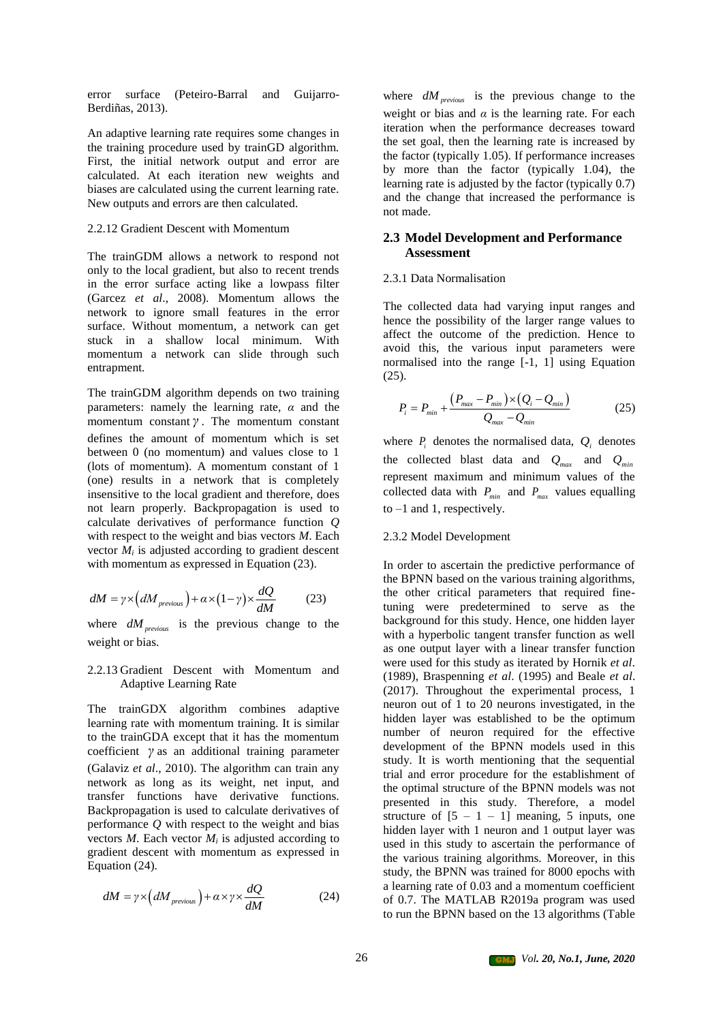error surface (Peteiro-Barral and Guijarro-Berdiñas, 2013).

An adaptive learning rate requires some changes in the training procedure used by trainGD algorithm. First, the initial network output and error are calculated. At each iteration new weights and biases are calculated using the current learning rate. New outputs and errors are then calculated.

#### 2.2.12 Gradient Descent with Momentum

The trainGDM allows a network to respond not only to the local gradient, but also to recent trends in the error surface acting like a lowpass filter (Garcez *et al*., 2008). Momentum allows the network to ignore small features in the error surface. Without momentum, a network can get stuck in a shallow local minimum. With momentum a network can slide through such entrapment.

The trainGDM algorithm depends on two training parameters: namely the learning rate,  $\alpha$  and the momentum constant *γ* . The momentum constant defines the amount of momentum which is set between 0 (no momentum) and values close to 1 (lots of momentum). A momentum constant of 1 (one) results in a network that is completely insensitive to the local gradient and therefore, does not learn properly. Backpropagation is used to calculate derivatives of performance function *Q* with respect to the weight and bias vectors *M*. Each vector  $M_i$  is adjusted according to gradient descent with momentum as expressed in Equation (23).

$$
dM = \gamma \times (dM_{previous}) + \alpha \times (1 - \gamma) \times \frac{dQ}{dM}
$$
 (23)

where  $dM_{previous}$  is the previous change to the weight or bias.

#### 2.2.13 Gradient Descent with Momentum and Adaptive Learning Rate

The trainGDX algorithm combines adaptive learning rate with momentum training. It is similar to the trainGDA except that it has the momentum coefficient *γ* as an additional training parameter (Galaviz *et al*., 2010). The algorithm can train any network as long as its weight, net input, and transfer functions have derivative functions. Backpropagation is used to calculate derivatives of performance *Q* with respect to the weight and bias vectors  $M$ . Each vector  $M_i$  is adjusted according to gradient descent with momentum as expressed in Equation (24).

$$
dM = \gamma \times (dM_{previous}) + \alpha \times \gamma \times \frac{dQ}{dM}
$$
 (24)

where  $dM_{previous}$  is the previous change to the weight or bias and  $\alpha$  is the learning rate. For each iteration when the performance decreases toward the set goal, then the learning rate is increased by the factor (typically 1.05). If performance increases by more than the factor (typically 1.04), the learning rate is adjusted by the factor (typically 0.7) and the change that increased the performance is not made.

#### **2.3 Model Development and Performance Assessment**

#### 2.3.1 Data Normalisation

The collected data had varying input ranges and hence the possibility of the larger range values to affect the outcome of the prediction. Hence to avoid this, the various input parameters were normalised into the range [-1, 1] using Equation (25).

$$
P_{i} = P_{min} + \frac{(P_{max} - P_{min}) \times (Q_{i} - Q_{min})}{Q_{max} - Q_{min}}
$$
 (25)

where  $P_i$  denotes the normalised data,  $Q_i$  denotes the collected blast data and  $Q_{max}$  and  $Q_{min}$ represent maximum and minimum values of the collected data with  $P_{min}$  and  $P_{max}$  values equalling to  $-1$  and 1, respectively.

#### 2.3.2 Model Development

In order to ascertain the predictive performance of the BPNN based on the various training algorithms, the other critical parameters that required finetuning were predetermined to serve as the background for this study. Hence, one hidden layer with a hyperbolic tangent transfer function as well as one output layer with a linear transfer function were used for this study as iterated by Hornik *et al*. (1989), Braspenning *et al*. (1995) and Beale *et al*. (2017). Throughout the experimental process, 1 neuron out of 1 to 20 neurons investigated, in the hidden layer was established to be the optimum number of neuron required for the effective development of the BPNN models used in this study. It is worth mentioning that the sequential trial and error procedure for the establishment of the optimal structure of the BPNN models was not presented in this study. Therefore, a model structure of  $[5 - 1 - 1]$  meaning, 5 inputs, one hidden layer with 1 neuron and 1 output layer was used in this study to ascertain the performance of the various training algorithms. Moreover, in this study, the BPNN was trained for 8000 epochs with a learning rate of 0.03 and a momentum coefficient of 0.7. The MATLAB R2019a program was used to run the BPNN based on the 13 algorithms (Table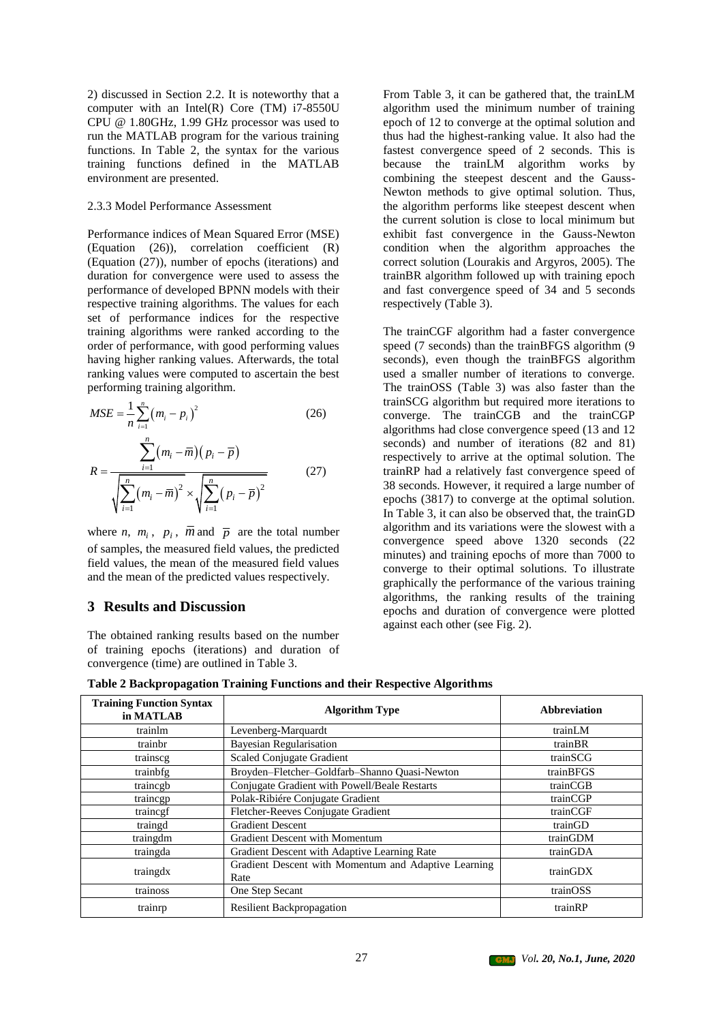2) discussed in Section 2.2. It is noteworthy that a computer with an Intel(R) Core (TM) i7-8550U CPU @ 1.80GHz, 1.99 GHz processor was used to run the MATLAB program for the various training functions. In Table 2, the syntax for the various training functions defined in the MATLAB environment are presented.

#### 2.3.3 Model Performance Assessment

Performance indices of Mean Squared Error (MSE) (Equation (26)), correlation coefficient (R) (Equation (27)), number of epochs (iterations) and duration for convergence were used to assess the performance of developed BPNN models with their respective training algorithms. The values for each set of performance indices for the respective training algorithms were ranked according to the order of performance, with good performing values having higher ranking values. Afterwards, the total ranking values were computed to ascertain the best performing training algorithm.

$$
MSE = \frac{1}{n} \sum_{i=1}^{n} (m_i - p_i)^2
$$
(26)  

$$
R = \frac{\sum_{i=1}^{n} (m_i - \overline{m})(p_i - \overline{p})}{\sqrt{\sum_{i=1}^{n} (m_i - \overline{m})^2} \times \sqrt{\sum_{i=1}^{n} (p_i - \overline{p})^2}}
$$
(27)

where *n*,  $m_i$ ,  $p_i$ ,  $\overline{m}$  and  $\overline{p}$  are the total number of samples, the measured field values, the predicted field values, the mean of the measured field values and the mean of the predicted values respectively.

## **3 Results and Discussion**

The obtained ranking results based on the number of training epochs (iterations) and duration of convergence (time) are outlined in Table 3.

From Table 3, it can be gathered that, the trainLM algorithm used the minimum number of training epoch of 12 to converge at the optimal solution and thus had the highest-ranking value. It also had the fastest convergence speed of 2 seconds. This is because the trainLM algorithm works by combining the steepest descent and the Gauss-Newton methods to give optimal solution. Thus, the algorithm performs like steepest descent when the current solution is close to local minimum but exhibit fast convergence in the Gauss-Newton condition when the algorithm approaches the correct solution (Lourakis and Argyros, 2005). The trainBR algorithm followed up with training epoch and fast convergence speed of 34 and 5 seconds respectively (Table 3).

The trainCGF algorithm had a faster convergence speed (7 seconds) than the trainBFGS algorithm (9 seconds), even though the trainBFGS algorithm used a smaller number of iterations to converge. The trainOSS (Table 3) was also faster than the trainSCG algorithm but required more iterations to converge. The trainCGB and the trainCGP algorithms had close convergence speed (13 and 12 seconds) and number of iterations (82 and 81) respectively to arrive at the optimal solution. The trainRP had a relatively fast convergence speed of 38 seconds. However, it required a large number of epochs (3817) to converge at the optimal solution. In Table 3, it can also be observed that, the trainGD algorithm and its variations were the slowest with a convergence speed above 1320 seconds (22 minutes) and training epochs of more than 7000 to converge to their optimal solutions. To illustrate graphically the performance of the various training algorithms, the ranking results of the training epochs and duration of convergence were plotted against each other (see Fig. 2).

**Table 2 Backpropagation Training Functions and their Respective Algorithms**

| <b>Training Function Syntax</b><br>in MATLAB | <b>Algorithm Type</b>                                        | <b>Abbreviation</b> |
|----------------------------------------------|--------------------------------------------------------------|---------------------|
| trainlm                                      | Levenberg-Marquardt                                          | trainLM             |
| trainbr                                      | <b>Bayesian Regularisation</b>                               | trainBR             |
| trainscg                                     | Scaled Conjugate Gradient                                    | trainSCG            |
| trainbfg                                     | Broyden-Fletcher-Goldfarb-Shanno Quasi-Newton                | trainBFGS           |
| traincgb                                     | Conjugate Gradient with Powell/Beale Restarts                | trainCGB            |
| traincgp                                     | Polak-Ribiére Conjugate Gradient                             | trainCGP            |
| trainegf                                     | Fletcher-Reeves Conjugate Gradient                           | trainCGF            |
| traingd                                      | <b>Gradient Descent</b>                                      | trainGD             |
| traingdm                                     | <b>Gradient Descent with Momentum</b>                        | trainGDM            |
| traingda                                     | Gradient Descent with Adaptive Learning Rate                 | trainGDA            |
| traingdx                                     | Gradient Descent with Momentum and Adaptive Learning<br>Rate | trainGDX            |
| trainoss                                     | One Step Secant                                              | trainOSS            |
| trainrp                                      | <b>Resilient Backpropagation</b>                             | trainRP             |

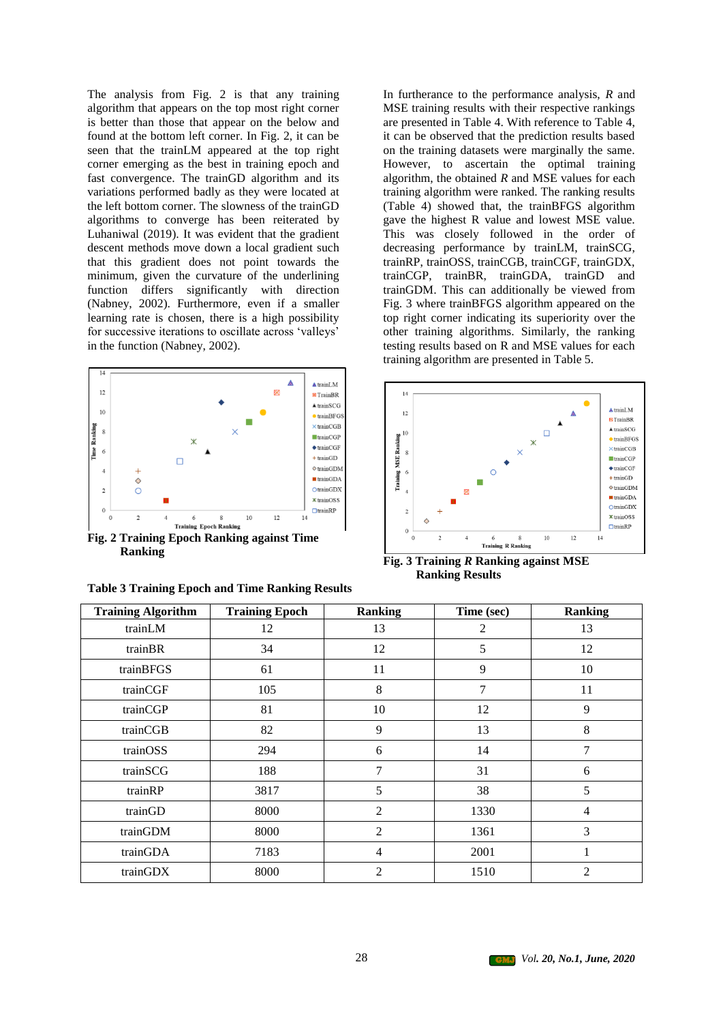The analysis from Fig. 2 is that any training algorithm that appears on the top most right corner is better than those that appear on the below and found at the bottom left corner. In Fig. 2, it can be seen that the trainLM appeared at the top right corner emerging as the best in training epoch and fast convergence. The trainGD algorithm and its variations performed badly as they were located at the left bottom corner. The slowness of the trainGD algorithms to converge has been reiterated by Luhaniwal (2019). It was evident that the gradient descent methods move down a local gradient such that this gradient does not point towards the minimum, given the curvature of the underlining function differs significantly with direction (Nabney, 2002). Furthermore, even if a smaller learning rate is chosen, there is a high possibility for successive iterations to oscillate across 'valleys' in the function (Nabney, 2002).



**Ranking**

| <b>Table 3 Training Epoch and Time Ranking Results</b> |  |  |  |
|--------------------------------------------------------|--|--|--|
|--------------------------------------------------------|--|--|--|

In furtherance to the performance analysis, *R* and MSE training results with their respective rankings are presented in Table 4. With reference to Table 4, it can be observed that the prediction results based on the training datasets were marginally the same. However, to ascertain the optimal training algorithm, the obtained *R* and MSE values for each training algorithm were ranked. The ranking results (Table 4) showed that, the trainBFGS algorithm gave the highest R value and lowest MSE value. This was closely followed in the order of decreasing performance by trainLM, trainSCG, trainRP, trainOSS, trainCGB, trainCGF, trainGDX, trainCGP, trainBR, trainGDA, trainGD and trainGDM. This can additionally be viewed from Fig. 3 where trainBFGS algorithm appeared on the top right corner indicating its superiority over the other training algorithms. Similarly, the ranking testing results based on R and MSE values for each training algorithm are presented in Table 5.



**Fig. 3 Training** *R* **Ranking against MSE Ranking Results**

| <b>Training Algorithm</b> | <b>Training Epoch</b> | <b>Ranking</b> | Time (sec) | <b>Ranking</b> |
|---------------------------|-----------------------|----------------|------------|----------------|
| trainLM                   | 12                    | 13             | 2          | 13             |
| trainBR                   | 34                    | 12             | 5          | 12             |
| trainBFGS                 | 61                    | 11             | 9          | 10             |
| trainCGF                  | 105                   | 8              | 7          | 11             |
| trainCGP                  | 81                    | 10             | 12         | 9              |
| trainCGB                  | 82                    | 9              | 13         | 8              |
| trainOSS                  | 294                   | 6              | 14         | $\overline{7}$ |
| trainSCG                  | 188                   | 7              | 31         | 6              |
| trainRP                   | 3817                  | 5              | 38         | 5              |
| trainGD                   | 8000                  | $\overline{2}$ | 1330       | $\overline{4}$ |
| trainGDM                  | 8000                  | $\overline{2}$ | 1361       | 3              |
| trainGDA                  | 7183                  | $\overline{4}$ | 2001       | 1              |
| trainGDX                  | 8000                  | $\overline{2}$ | 1510       | $\overline{2}$ |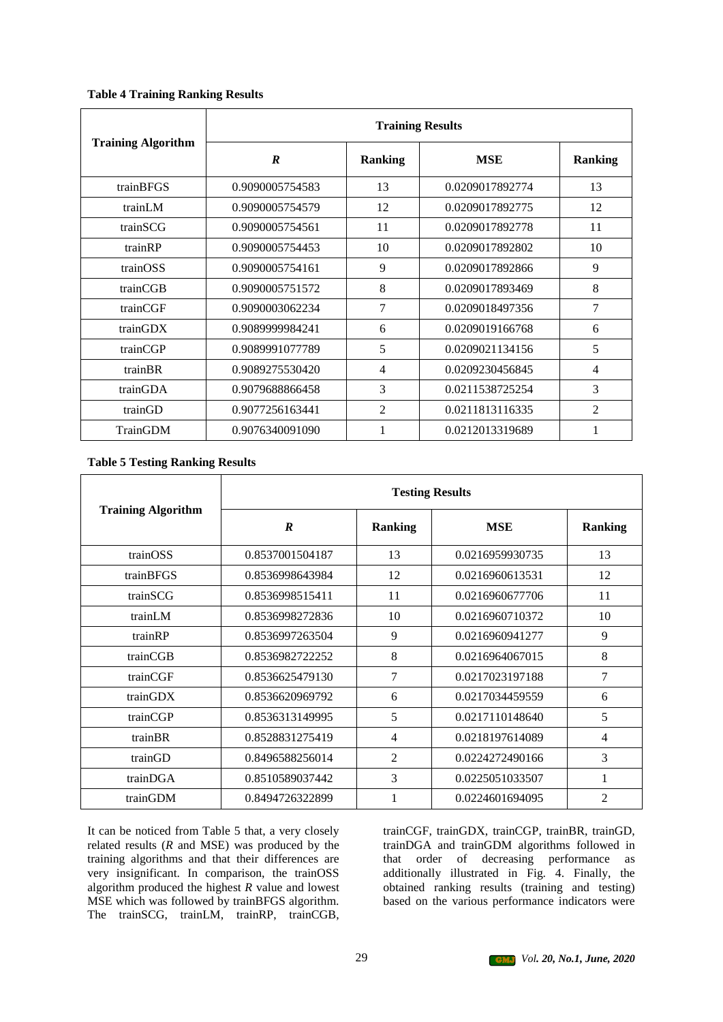### **Table 4 Training Ranking Results**

|                           | <b>Training Results</b> |                |                 |                |  |
|---------------------------|-------------------------|----------------|-----------------|----------------|--|
| <b>Training Algorithm</b> | R                       | <b>Ranking</b> | <b>MSE</b>      | <b>Ranking</b> |  |
| trainBFGS                 | 0.9090005754583         | 13             | 0.0209017892774 | 13             |  |
| trainLM                   | 0.9090005754579         | 12             | 0.0209017892775 | 12             |  |
| trainSCG                  | 0.9090005754561         | 11             | 0.0209017892778 | 11             |  |
| trainRP                   | 0.9090005754453         | 10             | 0.0209017892802 | 10             |  |
| trainOSS                  | 0.9090005754161         | 9              | 0.0209017892866 | 9              |  |
| trainCGB                  | 0.9090005751572         | 8              | 0.0209017893469 | 8              |  |
| trainCGF                  | 0.9090003062234         | 7              | 0.0209018497356 | 7              |  |
| trainGDX                  | 0.9089999984241         | 6              | 0.0209019166768 | 6              |  |
| trainCGP                  | 0.9089991077789         | 5              | 0.0209021134156 | 5              |  |
| trainBR                   | 0.9089275530420         | $\overline{4}$ | 0.0209230456845 | 4              |  |
| trainGDA                  | 0.9079688866458         | 3              | 0.0211538725254 | 3              |  |
| trainGD                   | 0.9077256163441         | 2              | 0.0211813116335 | $\overline{2}$ |  |
| TrainGDM                  | 0.9076340091090         |                | 0.0212013319689 | 1              |  |

## **Table 5 Testing Ranking Results**

|                           | <b>Testing Results</b> |                |                 |                |  |
|---------------------------|------------------------|----------------|-----------------|----------------|--|
| <b>Training Algorithm</b> | $\boldsymbol{R}$       | <b>Ranking</b> | <b>MSE</b>      | <b>Ranking</b> |  |
| trainOSS                  | 0.8537001504187        | 13             | 0.0216959930735 | 13             |  |
| trainBFGS                 | 0.8536998643984        | 12             | 0.0216960613531 | 12             |  |
| trainSCG                  | 0.8536998515411        | 11             | 0.0216960677706 | 11             |  |
| trainLM                   | 0.8536998272836        | 10             | 0.0216960710372 | 10             |  |
| trainRP                   | 0.8536997263504        | 9              | 0.0216960941277 | 9              |  |
| trainCGB                  | 0.8536982722252        | 8              | 0.0216964067015 | 8              |  |
| trainCGF                  | 0.8536625479130        | 7              | 0.0217023197188 | $\overline{7}$ |  |
| trainGDX                  | 0.8536620969792        | 6              | 0.0217034459559 | 6              |  |
| trainCGP                  | 0.8536313149995        | 5              | 0.0217110148640 | 5              |  |
| trainBR                   | 0.8528831275419        | $\overline{4}$ | 0.0218197614089 | $\overline{4}$ |  |
| trainGD                   | 0.8496588256014        | 2              | 0.0224272490166 | 3              |  |
| trainDGA                  | 0.8510589037442        | 3              | 0.0225051033507 | 1              |  |
| trainGDM                  | 0.8494726322899        |                | 0.0224601694095 | $\mathfrak{D}$ |  |

It can be noticed from Table 5 that, a very closely related results (*R* and MSE) was produced by the training algorithms and that their differences are very insignificant. In comparison, the trainOSS algorithm produced the highest *R* value and lowest MSE which was followed by trainBFGS algorithm. The trainSCG, trainLM, trainRP, trainCGB,

trainCGF, trainGDX, trainCGP, trainBR, trainGD, trainDGA and trainGDM algorithms followed in that order of decreasing performance as additionally illustrated in Fig. 4. Finally, the obtained ranking results (training and testing) based on the various performance indicators were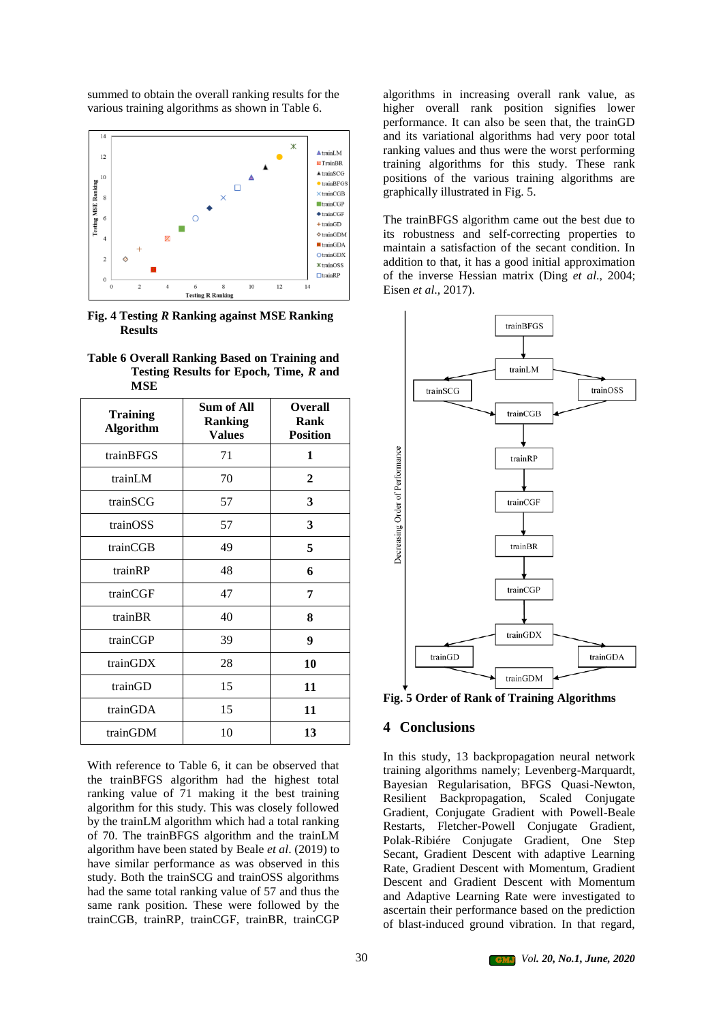summed to obtain the overall ranking results for the various training algorithms as shown in Table 6.



**Fig. 4 Testing** *R* **Ranking against MSE Ranking Results**

|      | Table 6 Overall Ranking Based on Training and |  |
|------|-----------------------------------------------|--|
|      | Testing Results for Epoch, Time, R and        |  |
| MSE. |                                               |  |

| <b>Training</b><br><b>Algorithm</b> | Sum of All<br><b>Ranking</b><br><b>Values</b> | <b>Overall</b><br>Rank<br><b>Position</b> |
|-------------------------------------|-----------------------------------------------|-------------------------------------------|
| trainBFGS                           | 71                                            | 1                                         |
| trainLM                             | 70                                            | $\mathbf{2}$                              |
| trainSCG                            | 57                                            | 3                                         |
| trainOSS                            | 57                                            | 3                                         |
| trainCGB                            | 49                                            | 5                                         |
| trainRP                             | 48                                            | 6                                         |
| trainCGF                            | 47                                            | 7                                         |
| trainBR                             | 40                                            | 8                                         |
| trainCGP                            | 39                                            | 9                                         |
| trainGDX                            | 28                                            | 10                                        |
| trainGD                             | 15                                            | 11                                        |
| trainGDA                            | 15                                            | 11                                        |
| trainGDM                            | 10                                            | 13                                        |

With reference to Table 6, it can be observed that the trainBFGS algorithm had the highest total ranking value of 71 making it the best training algorithm for this study. This was closely followed by the trainLM algorithm which had a total ranking of 70. The trainBFGS algorithm and the trainLM algorithm have been stated by Beale *et al*. (2019) to have similar performance as was observed in this study. Both the trainSCG and trainOSS algorithms had the same total ranking value of 57 and thus the same rank position. These were followed by the trainCGB, trainRP, trainCGF, trainBR, trainCGP

algorithms in increasing overall rank value, as higher overall rank position signifies lower performance. It can also be seen that, the trainGD and its variational algorithms had very poor total ranking values and thus were the worst performing training algorithms for this study. These rank positions of the various training algorithms are graphically illustrated in Fig. 5.

The trainBFGS algorithm came out the best due to its robustness and self-correcting properties to maintain a satisfaction of the secant condition. In addition to that, it has a good initial approximation of the inverse Hessian matrix (Ding *et al*., 2004; Eisen *et al*., 2017).



**Fig. 5 Order of Rank of Training Algorithms**

# **4 Conclusions**

In this study, 13 backpropagation neural network training algorithms namely; Levenberg-Marquardt, Bayesian Regularisation, BFGS Quasi-Newton, Resilient Backpropagation, Scaled Conjugate Gradient, Conjugate Gradient with Powell-Beale Restarts, Fletcher-Powell Conjugate Gradient, Polak-Ribiére Conjugate Gradient, One Step Secant, Gradient Descent with adaptive Learning Rate, Gradient Descent with Momentum, Gradient Descent and Gradient Descent with Momentum and Adaptive Learning Rate were investigated to ascertain their performance based on the prediction of blast-induced ground vibration. In that regard,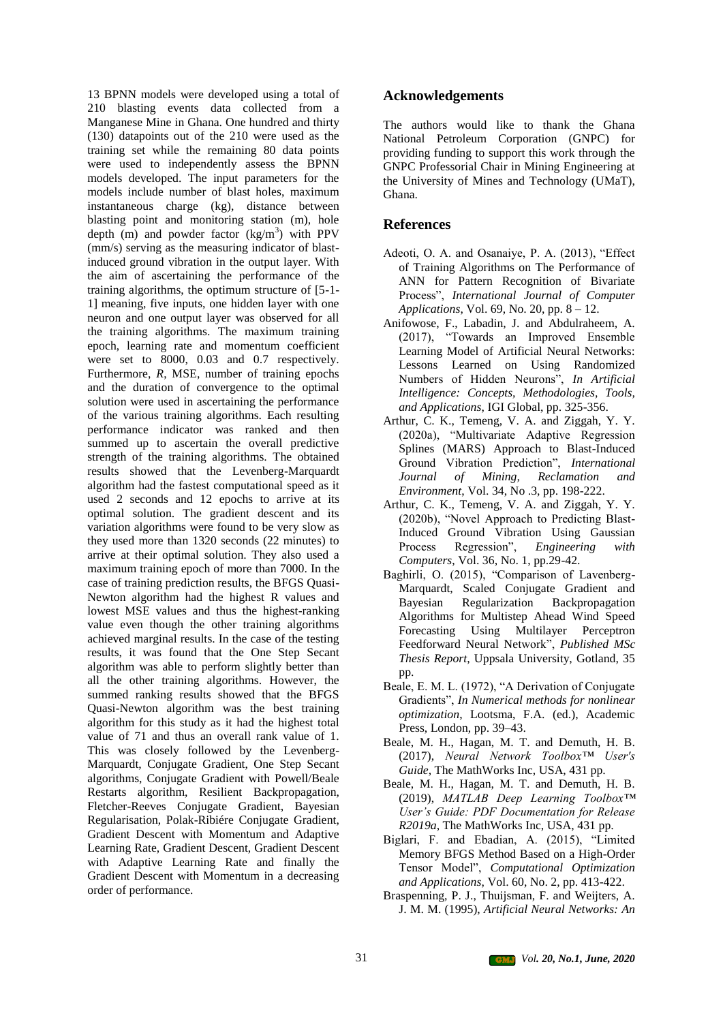13 BPNN models were developed using a total of 210 blasting events data collected from a Manganese Mine in Ghana. One hundred and thirty (130) datapoints out of the 210 were used as the training set while the remaining 80 data points were used to independently assess the BPNN models developed. The input parameters for the models include number of blast holes, maximum instantaneous charge (kg), distance between blasting point and monitoring station (m), hole depth  $(m)$  and powder factor  $(kg/m<sup>3</sup>)$  with PPV (mm/s) serving as the measuring indicator of blastinduced ground vibration in the output layer. With the aim of ascertaining the performance of the training algorithms, the optimum structure of [5-1- 1] meaning, five inputs, one hidden layer with one neuron and one output layer was observed for all the training algorithms. The maximum training epoch, learning rate and momentum coefficient were set to 8000, 0.03 and 0.7 respectively. Furthermore, *R*, MSE, number of training epochs and the duration of convergence to the optimal solution were used in ascertaining the performance of the various training algorithms. Each resulting performance indicator was ranked and then summed up to ascertain the overall predictive strength of the training algorithms. The obtained results showed that the Levenberg-Marquardt algorithm had the fastest computational speed as it used 2 seconds and 12 epochs to arrive at its optimal solution. The gradient descent and its variation algorithms were found to be very slow as they used more than 1320 seconds (22 minutes) to arrive at their optimal solution. They also used a maximum training epoch of more than 7000. In the case of training prediction results, the BFGS Quasi-Newton algorithm had the highest R values and lowest MSE values and thus the highest-ranking value even though the other training algorithms achieved marginal results. In the case of the testing results, it was found that the One Step Secant algorithm was able to perform slightly better than all the other training algorithms. However, the summed ranking results showed that the BFGS Quasi-Newton algorithm was the best training algorithm for this study as it had the highest total value of 71 and thus an overall rank value of 1. This was closely followed by the Levenberg-Marquardt, Conjugate Gradient, One Step Secant algorithms, Conjugate Gradient with Powell/Beale Restarts algorithm, Resilient Backpropagation, Fletcher-Reeves Conjugate Gradient, Bayesian Regularisation, Polak-Ribiére Conjugate Gradient, Gradient Descent with Momentum and Adaptive Learning Rate, Gradient Descent, Gradient Descent with Adaptive Learning Rate and finally the Gradient Descent with Momentum in a decreasing order of performance.

# **Acknowledgements**

The authors would like to thank the Ghana National Petroleum Corporation (GNPC) for providing funding to support this work through the GNPC Professorial Chair in Mining Engineering at the University of Mines and Technology (UMaT), Ghana.

# **References**

- Adeoti, O. A. and Osanaiye, P. A. (2013), "Effect of Training Algorithms on The Performance of ANN for Pattern Recognition of Bivariate Process", *International Journal of Computer Applications*, Vol. 69, No. 20, pp. 8 – 12.
- Anifowose, F., Labadin, J. and Abdulraheem, A. (2017), "Towards an Improved Ensemble Learning Model of Artificial Neural Networks: Lessons Learned on Using Randomized Numbers of Hidden Neurons", *In Artificial Intelligence: Concepts, Methodologies, Tools, and Applications*, IGI Global, pp. 325-356.
- Arthur, C. K., Temeng, V. A. and Ziggah, Y. Y. (2020a), "Multivariate Adaptive Regression Splines (MARS) Approach to Blast-Induced Ground Vibration Prediction", *International Journal of Mining, Reclamation and Environment*, Vol. 34, No .3, pp. 198-222.
- Arthur, C. K., Temeng, V. A. and Ziggah, Y. Y. (2020b), "Novel Approach to Predicting Blast-Induced Ground Vibration Using Gaussian Process Regression", *Engineering with Computers*, Vol. 36, No. 1, pp.29-42.
- Baghirli, O. (2015), "Comparison of Lavenberg-Marquardt, Scaled Conjugate Gradient and Bayesian Regularization Backpropagation Algorithms for Multistep Ahead Wind Speed Forecasting Using Multilayer Perceptron Feedforward Neural Network", *Published MSc Thesis Report*, Uppsala University, Gotland, 35 pp.
- Beale, E. M. L. (1972), "A Derivation of Conjugate Gradients", *In Numerical methods for nonlinear optimization*, Lootsma, F.A. (ed.), Academic Press, London, pp. 39–43.
- Beale, M. H., Hagan, M. T. and Demuth, H. B. (2017), *Neural Network Toolbox™ User's Guide*, The MathWorks Inc, USA, 431 pp.
- Beale, M. H., Hagan, M. T. and Demuth, H. B. (2019), *MATLAB Deep Learning Toolbox™ User's Guide: PDF Documentation for Release R2019a*, The MathWorks Inc, USA, 431 pp.
- Biglari, F. and Ebadian, A. (2015), "Limited Memory BFGS Method Based on a High-Order Tensor Model", *Computational Optimization and Applications*, Vol. 60, No. 2, pp. 413-422.
- Braspenning, P. J., Thuijsman, F. and Weijters, A. J. M. M. (1995), *Artificial Neural Networks: An*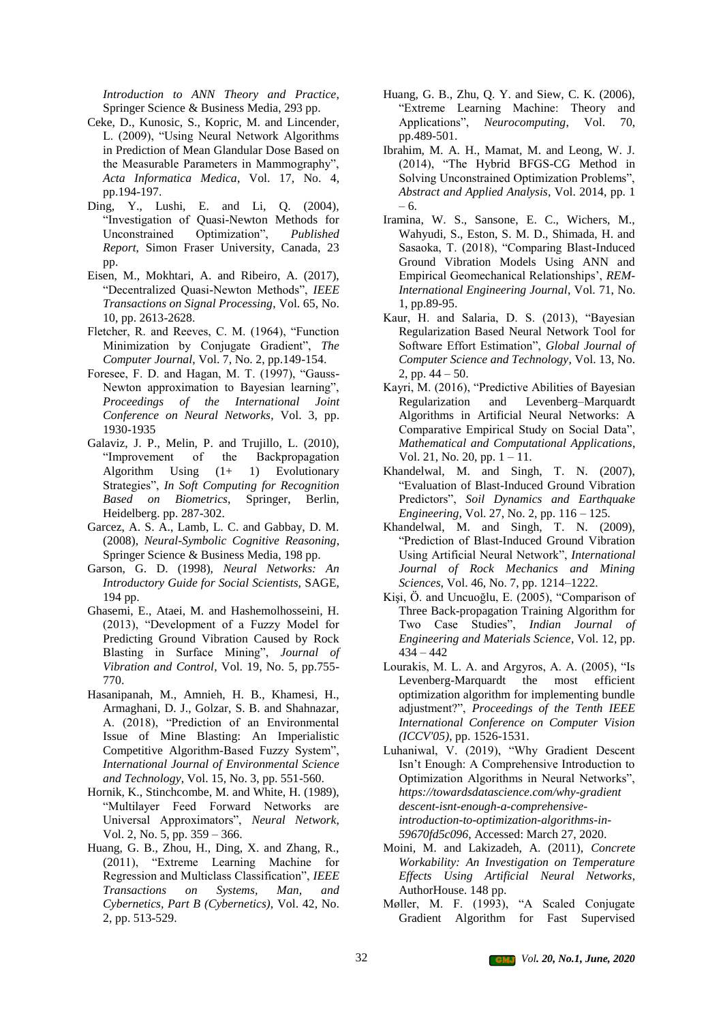*Introduction to ANN Theory and Practice*, Springer Science & Business Media, 293 pp.

- Ceke, D., Kunosic, S., Kopric, M. and Lincender, L. (2009), "Using Neural Network Algorithms in Prediction of Mean Glandular Dose Based on the Measurable Parameters in Mammography", *Acta Informatica Medica*, Vol. 17, No. 4, pp.194-197.
- Ding, Y., Lushi, E. and Li, Q. (2004), "Investigation of Quasi-Newton Methods for Unconstrained Optimization", *Published Report*, Simon Fraser University, Canada, 23 pp.
- Eisen, M., Mokhtari, A. and Ribeiro, A. (2017), "Decentralized Quasi-Newton Methods", *IEEE Transactions on Signal Processing*, Vol. 65, No. 10, pp. 2613-2628.
- Fletcher, R. and Reeves, C. M. (1964), "Function Minimization by Conjugate Gradient", *The Computer Journal*, Vol. 7, No. 2, pp.149-154.
- Foresee, F. D. and Hagan, M. T. (1997), "Gauss-Newton approximation to Bayesian learning", *Proceedings of the International Joint Conference on Neural Networks*, Vol. 3, pp. 1930-1935
- Galaviz, J. P., Melin, P. and Trujillo, L. (2010), "Improvement of the Backpropagation Algorithm Using (1+ 1) Evolutionary Strategies", *In Soft Computing for Recognition Based on Biometrics*, Springer, Berlin, Heidelberg. pp. 287-302.
- Garcez, A. S. A., Lamb, L. C. and Gabbay, D. M. (2008), *Neural-Symbolic Cognitive Reasoning*, Springer Science & Business Media, 198 pp.
- Garson, G. D. (1998), *Neural Networks: An Introductory Guide for Social Scientists*, SAGE, 194 pp.
- Ghasemi, E., Ataei, M. and Hashemolhosseini, H. (2013), "Development of a Fuzzy Model for Predicting Ground Vibration Caused by Rock Blasting in Surface Mining", *Journal of Vibration and Control*, Vol. 19, No. 5, pp.755- 770.
- Hasanipanah, M., Amnieh, H. B., Khamesi, H., Armaghani, D. J., Golzar, S. B. and Shahnazar, A. (2018), "Prediction of an Environmental Issue of Mine Blasting: An Imperialistic Competitive Algorithm-Based Fuzzy System", *International Journal of Environmental Science and Technology*, Vol. 15, No. 3, pp. 551-560.
- Hornik, K., Stinchcombe, M. and White, H. (1989), "Multilayer Feed Forward Networks are Universal Approximators", *Neural Network*, Vol. 2, No. 5, pp. 359 – 366.
- Huang, G. B., Zhou, H., Ding, X. and Zhang, R., (2011), "Extreme Learning Machine for Regression and Multiclass Classification", *IEEE Transactions on Systems, Man, and Cybernetics, Part B (Cybernetics)*, Vol. 42, No. 2, pp. 513-529.
- Huang, G. B., Zhu, Q. Y. and Siew, C. K. (2006), "Extreme Learning Machine: Theory and Applications", *Neurocomputing*, Vol. 70, pp.489-501.
- Ibrahim, M. A. H., Mamat, M. and Leong, W. J. (2014), "The Hybrid BFGS-CG Method in Solving Unconstrained Optimization Problems", *Abstract and Applied Analysis*, Vol. 2014, pp. 1 – 6.
- Iramina, W. S., Sansone, E. C., Wichers, M., Wahyudi, S., Eston, S. M. D., Shimada, H. and Sasaoka, T. (2018), "Comparing Blast-Induced Ground Vibration Models Using ANN and Empirical Geomechanical Relationships', *REM-International Engineering Journal*, Vol. 71, No. 1, pp.89-95.
- Kaur, H. and Salaria, D. S. (2013), "Bayesian Regularization Based Neural Network Tool for Software Effort Estimation", *Global Journal of Computer Science and Technology*, Vol. 13, No. 2, pp.  $44 - 50$ .
- Kayri, M. (2016), "Predictive Abilities of Bayesian Regularization and Levenberg–Marquardt Algorithms in Artificial Neural Networks: A Comparative Empirical Study on Social Data", *Mathematical and Computational Applications*, Vol. 21, No. 20, pp. 1 – 11.
- Khandelwal, M. and Singh, T. N. (2007), "Evaluation of Blast-Induced Ground Vibration Predictors", *Soil Dynamics and Earthquake Engineering*, Vol. 27, No. 2, pp. 116 – 125.
- Khandelwal, M. and Singh, T. N. (2009), "Prediction of Blast-Induced Ground Vibration Using Artificial Neural Network", *International Journal of Rock Mechanics and Mining Sciences*, Vol. 46, No. 7, pp. 1214–1222.
- Kişi, Ӧ. and Uncuoğlu, E. (2005), "Comparison of Three Back-propagation Training Algorithm for Two Case Studies", *Indian Journal of Engineering and Materials Science*, Vol. 12, pp. 434 – 442
- Lourakis, M. L. A. and Argyros, A. A. (2005), "Is Levenberg-Marquardt the most efficient optimization algorithm for implementing bundle adjustment?", *Proceedings of the Tenth IEEE International Conference on Computer Vision (ICCV'05)*, pp. 1526-1531.
- Luhaniwal, V. (2019), "Why Gradient Descent Isn't Enough: A Comprehensive Introduction to Optimization Algorithms in Neural Networks", *https://towardsdatascience.com/why-gradient descent-isnt-enough-a-comprehensiveintroduction-to-optimization-algorithms-in-59670fd5c096*, Accessed: March 27, 2020.
- Moini, M. and Lakizadeh, A. (2011), *Concrete Workability: An Investigation on Temperature Effects Using Artificial Neural Networks*, AuthorHouse. 148 pp.
- Møller, M. F. (1993), "A Scaled Conjugate Gradient Algorithm for Fast Supervised